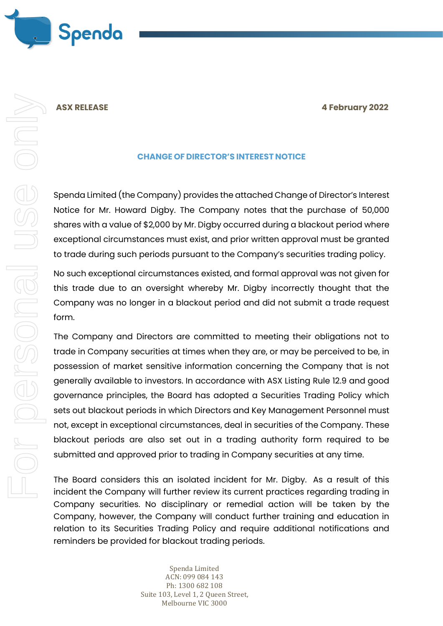

### **ASX RELEASE 4 February 2022**

## **CHANGE OF DIRECTOR'S INTEREST NOTICE**

Spenda Limited (the Company) provides the attached Change of Director's Interest Notice for Mr. Howard Digby. The Company notes that the purchase of 50,000 shares with a value of \$2,000 by Mr. Digby occurred during a blackout period where exceptional circumstances must exist, and prior written approval must be granted to trade during such periods pursuant to the Company's securities trading policy.

No such exceptional circumstances existed, and formal approval was not given for this trade due to an oversight whereby Mr. Digby incorrectly thought that the Company was no longer in a blackout period and did not submit a trade request form.

The Company and Directors are committed to meeting their obligations not to trade in Company securities at times when they are, or may be perceived to be, in possession of market sensitive information concerning the Company that is not generally available to investors. In accordance with ASX Listing Rule 12.9 and good governance principles, the Board has adopted a Securities Trading Policy which sets out blackout periods in which Directors and Key Management Personnel must not, except in exceptional circumstances, deal in securities of the Company. These blackout periods are also set out in a trading authority form required to be submitted and approved prior to trading in Company securities at any time.

The Board considers this an isolated incident for Mr. Digby. As a result of this incident the Company will further review its current practices regarding trading in Company securities. No disciplinary or remedial action will be taken by the Company, however, the Company will conduct further training and education in relation to its Securities Trading Policy and require additional notifications and reminders be provided for blackout trading periods.

> Spenda Limited ACN: 099 084 143 Ph: 1300 682 108 Suite 103, Level 1, 2 Queen Street, Melbourne VIC 3000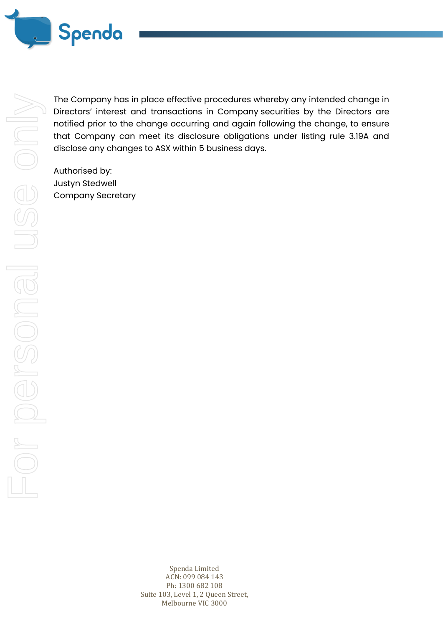

The Company has in place effective procedures whereby any intended change in Directors' interest and transactions in Company securities by the Directors are notified prior to the change occurring and again following the change, to ensure that Company can meet its disclosure obligations under listing rule 3.19A and disclose any changes to ASX within 5 business days.

Authorised by: Justyn Stedwell Company Secretary

> Spenda Limited ACN: 099 084 143 Ph: 1300 682 108 Suite 103, Level 1, 2 Queen Street, Melbourne VIC 3000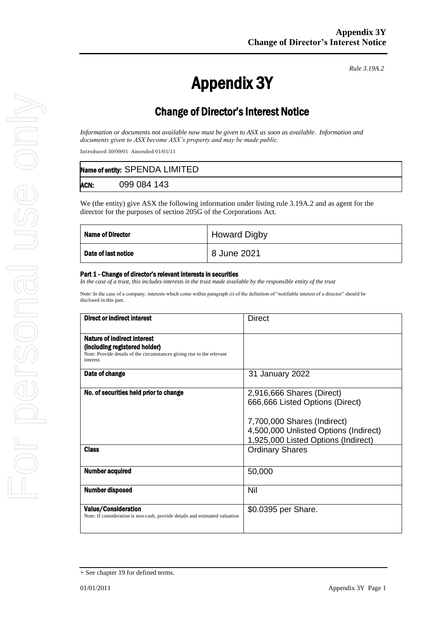*Rule 3.19A.2*

# Appendix 3Y

# Change of Director's Interest Notice

*Information or documents not available now must be given to ASX as soon as available. Information and documents given to ASX become ASX's property and may be made public.*

Introduced 30/09/01 Amended 01/01/11

|      | Name of entity: SPENDA LIMITED |
|------|--------------------------------|
| ACN: | 099 084 143                    |

We (the entity) give ASX the following information under listing rule 3.19A.2 and as agent for the director for the purposes of section 205G of the Corporations Act.

| <b>Name of Director</b> | <b>Howard Digby</b> |
|-------------------------|---------------------|
| Date of last notice     | 8 June 2021         |

#### Part 1 - Change of director's relevant interests in securities

*In the case of a trust, this includes interests in the trust made available by the responsible entity of the trust* 

Note: In the case of a company, interests which come within paragraph (i) of the definition of "notifiable interest of a director" should be disclosed in this part.

| Direct or indirect interest                                                                                                                         | Direct                                                                                                                                                                      |  |
|-----------------------------------------------------------------------------------------------------------------------------------------------------|-----------------------------------------------------------------------------------------------------------------------------------------------------------------------------|--|
| Nature of indirect interest<br>(including registered holder)<br>Note: Provide details of the circumstances giving rise to the relevant<br>interest. |                                                                                                                                                                             |  |
| Date of change                                                                                                                                      | 31 January 2022                                                                                                                                                             |  |
| No. of securities held prior to change                                                                                                              | 2,916,666 Shares (Direct)<br>666,666 Listed Options (Direct)<br>7,700,000 Shares (Indirect)<br>4,500,000 Unlisted Options (Indirect)<br>1,925,000 Listed Options (Indirect) |  |
| <b>Class</b>                                                                                                                                        | <b>Ordinary Shares</b>                                                                                                                                                      |  |
| <b>Number acquired</b>                                                                                                                              | 50,000                                                                                                                                                                      |  |
| <b>Number disposed</b>                                                                                                                              | Nil                                                                                                                                                                         |  |
| <b>Value/Consideration</b><br>Note: If consideration is non-cash, provide details and estimated valuation                                           | \$0.0395 per Share.                                                                                                                                                         |  |

<sup>+</sup> See chapter 19 for defined terms.